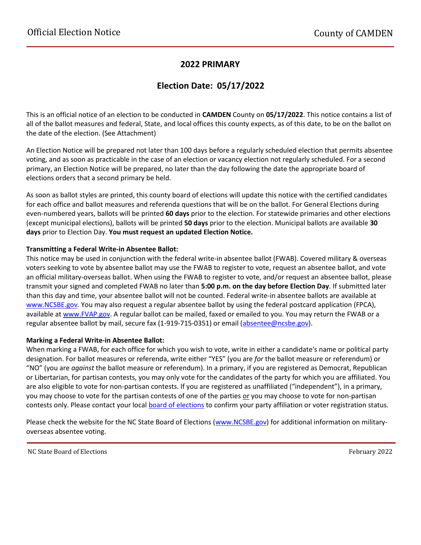### **2022 PRIMARY**

## **Election Date: 05/17/2022**

This is an official notice of an election to be conducted in **CAMDEN** County on **05/17/2022**. This notice contains a list of all of the ballot measures and federal, State, and local offices this county expects, as of this date, to be on the ballot on the date of the election. (See Attachment)

An Election Notice will be prepared not later than 100 days before a regularly scheduled election that permits absentee voting, and as soon as practicable in the case of an election or vacancy election not regularly scheduled. For a second primary, an Election Notice will be prepared, no later than the day following the date the appropriate board of elections orders that a second primary be held.

As soon as ballot styles are printed, this county board of elections will update this notice with the certified candidates for each office and ballot measures and referenda questions that will be on the ballot. For General Elections during even-numbered years, ballots will be printed **60 days** prior to the election. For statewide primaries and other elections (except municipal elections), ballots will be printed **50 days** prior to the election. Municipal ballots are available **30 days** prior to Election Day. **You must request an updated Election Notice.**

#### **Transmitting a Federal Write-in Absentee Ballot:**

This notice may be used in conjunction with the federal write-in absentee ballot (FWAB). Covered military & overseas voters seeking to vote by absentee ballot may use the FWAB to register to vote, request an absentee ballot, and vote an official military-overseas ballot. When using the FWAB to register to vote, and/or request an absentee ballot, please transmit your signed and completed FWAB no later than **5:00 p.m. on the day before Election Day**. If submitted later than this day and time, your absentee ballot will not be counted. Federal write-in absentee ballots are available at [www.NCSBE.gov.](https://www.ncsbe.gov/) You may also request a regular absentee ballot by using the federal postcard application (FPCA), available a[t www.FVAP.gov.](https://www.fvap.gov/) A regular ballot can be mailed, faxed or emailed to you. You may return the FWAB or a regular absentee ballot by mail, secure fax (1-919-715-0351) or email (absentee@ncsbe.gov).

#### **Marking a Federal Write-in Absentee Ballot:**

When marking a FWAB, for each office for which you wish to vote, write in either a candidate's name or political party designation. For ballot measures or referenda, write either "YES" (you are *for* the ballot measure or referendum) or "NO" (you are *against* the ballot measure or referendum). In a primary, if you are registered as Democrat, Republican or Libertarian, for partisan contests, you may only vote for the candidates of the party for which you are affiliated. You are also eligible to vote for non-partisan contests. If you are registered as unaffiliated ("independent"), in a primary, you may choose to vote for the partisan contests of one of the parties or you may choose to vote for non-partisan contests only. Please contact your local [board of elections](https://vt.ncsbe.gov/BOEInfo/) to confirm your party affiliation or voter registration status.

Please check the website for the NC State Board of Elections [\(www.NCSBE.gov\)](https://www.ncsbe.gov/) for additional information on militaryoverseas absentee voting.

NC State Board of Elections **February 2022**